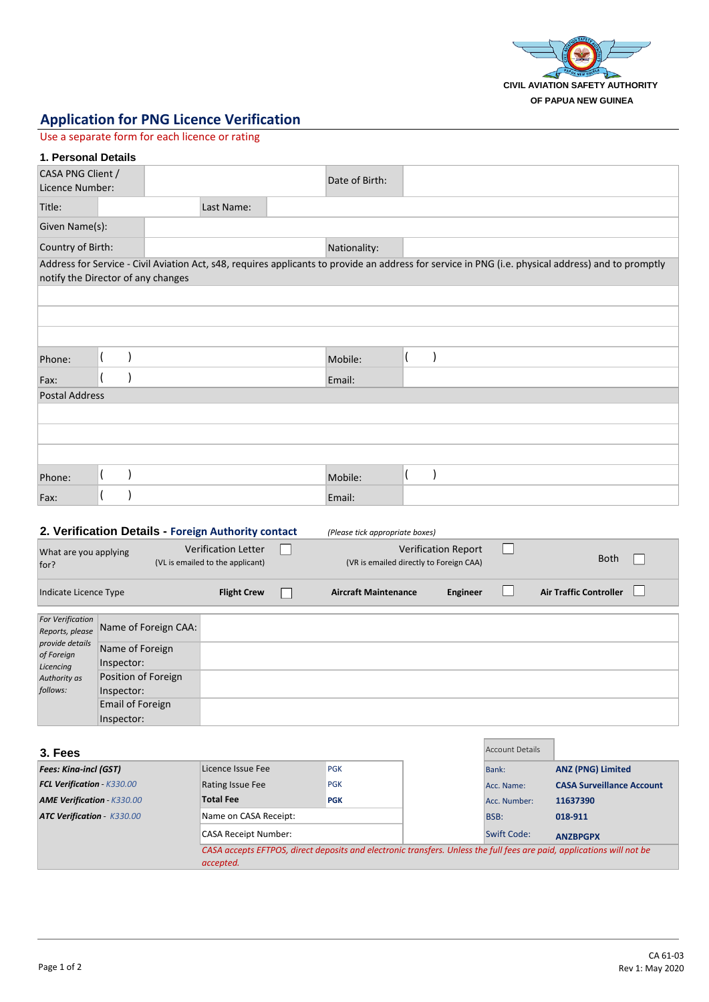

## **Application for PNG Licence Verification**

Use a separate form for each licence or rating

## **1. Personal Details**

| CASA PNG Client /<br>Licence Number: |                                    |            | Date of Birth: |                                                                                                                                                     |
|--------------------------------------|------------------------------------|------------|----------------|-----------------------------------------------------------------------------------------------------------------------------------------------------|
| Title:                               |                                    | Last Name: |                |                                                                                                                                                     |
| Given Name(s):                       |                                    |            |                |                                                                                                                                                     |
| Country of Birth:                    |                                    |            | Nationality:   |                                                                                                                                                     |
|                                      | notify the Director of any changes |            |                | Address for Service - Civil Aviation Act, s48, requires applicants to provide an address for service in PNG (i.e. physical address) and to promptly |
|                                      |                                    |            |                |                                                                                                                                                     |
|                                      |                                    |            |                |                                                                                                                                                     |
|                                      |                                    |            |                |                                                                                                                                                     |
| Phone:                               |                                    |            | Mobile:        |                                                                                                                                                     |
| Fax:                                 |                                    |            | Email:         |                                                                                                                                                     |
| Postal Address                       |                                    |            |                |                                                                                                                                                     |
|                                      |                                    |            |                |                                                                                                                                                     |
|                                      |                                    |            |                |                                                                                                                                                     |
|                                      |                                    |            |                |                                                                                                                                                     |
| Phone:                               |                                    |            | Mobile:        |                                                                                                                                                     |
| Fax:                                 |                                    |            | Email:         |                                                                                                                                                     |

|                                                                                                                      | 2. Verification Details - Foreign Authority contact |                                                                | (Please tick appropriate boxes)                                       |          |                               |  |
|----------------------------------------------------------------------------------------------------------------------|-----------------------------------------------------|----------------------------------------------------------------|-----------------------------------------------------------------------|----------|-------------------------------|--|
| What are you applying<br>for?                                                                                        |                                                     | <b>Verification Letter</b><br>(VL is emailed to the applicant) | <b>Verification Report</b><br>(VR is emailed directly to Foreign CAA) |          | <b>Both</b>                   |  |
| Indicate Licence Type                                                                                                |                                                     | <b>Flight Crew</b>                                             | <b>Aircraft Maintenance</b>                                           | Engineer | <b>Air Traffic Controller</b> |  |
| <b>For Verification</b><br>Reports, please<br>provide details<br>of Foreign<br>Licencing<br>Authority as<br>follows: | Name of Foreign CAA:                                |                                                                |                                                                       |          |                               |  |
|                                                                                                                      | Name of Foreign<br>Inspector:                       |                                                                |                                                                       |          |                               |  |
|                                                                                                                      | Position of Foreign<br>Inspector:                   |                                                                |                                                                       |          |                               |  |
|                                                                                                                      | Email of Foreign<br>Inspector:                      |                                                                |                                                                       |          |                               |  |

| 3. Fees                           |                                                                                                                                     |            |             | Account Details |                                  |
|-----------------------------------|-------------------------------------------------------------------------------------------------------------------------------------|------------|-------------|-----------------|----------------------------------|
| <b>Fees: Kina-incl (GST)</b>      | Licence Issue Fee                                                                                                                   | <b>PGK</b> |             | Bank:           | <b>ANZ (PNG) Limited</b>         |
| <b>FCL Verification - K330.00</b> | Rating Issue Fee                                                                                                                    | <b>PGK</b> |             | Acc. Name:      | <b>CASA Surveillance Account</b> |
| <b>AME Verification - K330.00</b> | <b>Total Fee</b>                                                                                                                    | <b>PGK</b> |             | Acc. Number:    | 11637390                         |
| <b>ATC Verification - K330.00</b> | Name on CASA Receipt:                                                                                                               |            | BSB:        | 018-911         |                                  |
|                                   | <b>CASA Receipt Number:</b>                                                                                                         |            | Swift Code: | <b>ANZBPGPX</b> |                                  |
|                                   | CASA accepts EFTPOS, direct deposits and electronic transfers. Unless the full fees are paid, applications will not be<br>accepted. |            |             |                 |                                  |